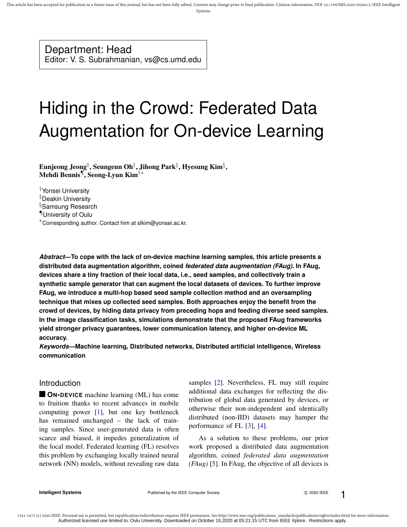Systems

# Department: Head

Editor: V. S. Subrahmanian, vs@cs.umd.edu

# Hiding in the Crowd: Federated Data Augmentation for On-device Learning

Eunjeong Jeong†, Seungeun Oh†, Jihong Park‡, Hyesung Kim $\S,$ Mehdi Bennis¶ , Seong-Lyun Kim†∗

†Yonsei University

‡Deakin University

§Samsung Research

¶University of Oulu

<sup>∗</sup>Corresponding author. Contact him at slkim@yonsei.ac.kr.

*Abstract***—To cope with the lack of on-device machine learning samples, this article presents a distributed data augmentation algorithm, coined** *federated data augmentation (FAug)***. In FAug, devices share a tiny fraction of their local data, i.e., seed samples, and collectively train a synthetic sample generator that can augment the local datasets of devices. To further improve FAug, we introduce a multi-hop based seed sample collection method and an oversampling technique that mixes up collected seed samples. Both approaches enjoy the benefit from the crowd of devices, by hiding data privacy from preceding hops and feeding diverse seed samples. In the image classification tasks, simulations demonstrate that the proposed FAug frameworks yield stronger privacy guarantees, lower communication latency, and higher on-device ML accuracy.**

*Keywords***—Machine learning, Distributed networks, Distributed artificial intelligence, Wireless communication**

# Introduction

**ON-DEVICE** machine learning (ML) has come to fruition thanks to recent advances in mobile computing power [1], but one key bottleneck has remained unchanged – the lack of training samples. Since user-generated data is often scarce and biased, it impedes generalization of the local model. Federated learning (FL) resolves this problem by exchanging locally trained neural network (NN) models, without revealing raw data samples [2]. Nevertheless, FL may still require additional data exchanges for reflecting the distribution of global data generated by devices, or otherwise their non-independent and identically distributed (non-IID) datasets may hamper the performance of FL [3], [4].

As a solution to these problems, our prior work proposed a distributed data augmentation algorithm, coined *federated data augmentation (FAug)* [5]. In FAug, the objective of all devices is

**Intelligent Systems Published by the IEEE Computer Society COMPUTER COMPUTER 1**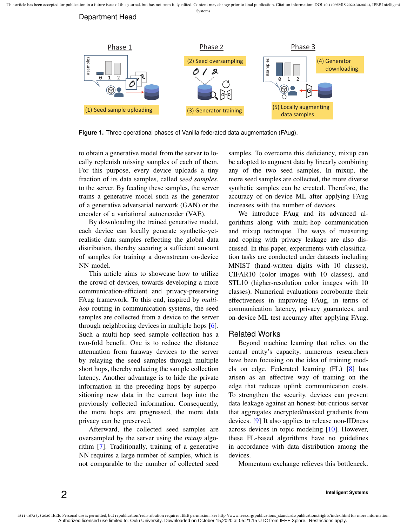Department Head



**Figure 1.** Three operational phases of Vanilla federated data augmentation (FAug).

to obtain a generative model from the server to locally replenish missing samples of each of them. For this purpose, every device uploads a tiny fraction of its data samples, called *seed samples*, to the server. By feeding these samples, the server trains a generative model such as the generator of a generative adversarial network (GAN) or the encoder of a variational autoencoder (VAE).

By downloading the trained generative model, each device can locally generate synthetic-yetrealistic data samples reflecting the global data distribution, thereby securing a sufficient amount of samples for training a downstream on-device NN model.

This article aims to showcase how to utilize the crowd of devices, towards developing a more communication-efficient and privacy-preserving FAug framework. To this end, inspired by *multihop* routing in communication systems, the seed samples are collected from a device to the server through neighboring devices in multiple hops [6]. Such a multi-hop seed sample collection has a two-fold benefit. One is to reduce the distance attenuation from faraway devices to the server by relaying the seed samples through multiple short hops, thereby reducing the sample collection latency. Another advantage is to hide the private information in the preceding hops by superpositioning new data in the current hop into the previously collected information. Consequently, the more hops are progressed, the more data privacy can be preserved.

Afterward, the collected seed samples are oversampled by the server using the *mixup* algorithm [7]. Traditionally, training of a generative NN requires a large number of samples, which is not comparable to the number of collected seed samples. To overcome this deficiency, mixup can be adopted to augment data by linearly combining any of the two seed samples. In mixup, the more seed samples are collected, the more diverse synthetic samples can be created. Therefore, the accuracy of on-device ML after applying FAug increases with the number of devices.

We introduce FAug and its advanced algorithms along with multi-hop communication and mixup technique. The ways of measuring and coping with privacy leakage are also discussed. In this paper, experiments with classification tasks are conducted under datasets including MNIST (hand-written digits with 10 classes), CIFAR10 (color images with 10 classes), and STL10 (higher-resolution color images with 10 classes). Numerical evaluations corroborate their effectiveness in improving FAug, in terms of communication latency, privacy guarantees, and on-device ML test accuracy after applying FAug.

# Related Works

Beyond machine learning that relies on the central entity's capacity, numerous researchers have been focusing on the idea of training models on edge. Federated learning (FL) [8] has arisen as an effective way of training on the edge that reduces uplink communication costs. To strengthen the security, devices can prevent data leakage against an honest-but-curious server that aggregates encrypted/masked gradients from devices. [9] It also applies to release non-IIDness across devices in topic modeling [10]. However, these FL-based algorithms have no guidelines in accordance with data distribution among the devices.

Momentum exchange relieves this bottleneck.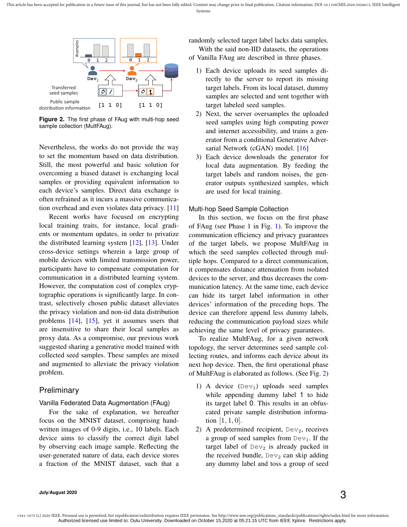

**Figure 2.** The first phase of FAug with multi-hop seed sample collection (MultFAug).

Nevertheless, the works do not provide the way to set the momentum based on data distribution. Still, the most powerful and basic solution for overcoming a biased dataset is exchanging local samples or providing equivalent information to each device's samples. Direct data exchange is often refrained as it incurs a massive communication overhead and even violates data privacy. [11]

Recent works have focused on encrypting local training traits, for instance, local gradients or momentum updates, in order to privatize the distributed learning system [12], [13]. Under cross-device settings wherein a large group of mobile devices with limited transmission power, participants have to compensate computation for communication in a distributed learning system. However, the computation cost of complex cryptographic operations is significantly large. In contrast, selectively chosen public dataset alleviates the privacy violation and non-iid data distribution problems [14], [15], yet it assumes users that are insensitive to share their local samples as proxy data. As a compromise, our previous work suggested sharing a generative model trained with collected seed samples. These samples are mixed and augmented to alleviate the privacy violation problem.

## Preliminary

Vanilla Federated Data Augmentation (FAug)

For the sake of explanation, we hereafter focus on the MNIST dataset, comprising handwritten images of 0-9 digits, i.e., 10 labels. Each device aims to classify the correct digit label by observing each image sample. Reflecting the user-generated nature of data, each device stores a fraction of the MNIST dataset, such that a

randomly selected target label lacks data samples. With the said non-IID datasets, the operations of Vanilla FAug are described in three phases.

- 1) Each device uploads its seed samples directly to the server to report its missing target labels. From its local dataset, dummy samples are selected and sent together with target labeled seed samples.
- 2) Next, the server oversamples the uploaded seed samples using high computing power and internet accessibility, and trains a generator from a conditional Generative Adversarial Network (cGAN) model. [16]
- 3) Each device downloads the generator for local data augmentation. By feeding the target labels and random noises, the generator outputs synthesized samples, which are used for local training.

## Multi-hop Seed Sample Collection

In this section, we focus on the first phase of FAug (see Phase 1 in Fig. 1). To improve the communication efficiency and privacy guarantees of the target labels, we propose MultFAug in which the seed samples collected through multiple hops. Compared to a direct communication, it compensates distance attenuation from isolated devices to the server, and thus decreases the communication latency. At the same time, each device can hide its target label information in other devices' information of the preceding hops. The device can therefore append less dummy labels, reducing the communication payload sizes while achieving the same level of privacy guarantees.

To realize MultFAug, for a given network topology, the server determines seed sample collecting routes, and informs each device about its next hop device. Then, the first operational phase of MultFAug is elaborated as follows. (See Fig. 2)

- 1) A device  $(Dev<sub>1</sub>)$  uploads seed samples while appending dummy label 1 to hide its target label 0. This results in an obfuscated private sample distribution information  $[1, 1, 0]$ .
- 2) A predetermined recipient,  $Dev<sub>2</sub>$ , receives a group of seed samples from  $Dev_1$ . If the target label of  $Dev_2$  is already packed in the received bundle,  $Dev<sub>2</sub>$  can skip adding any dummy label and toss a group of seed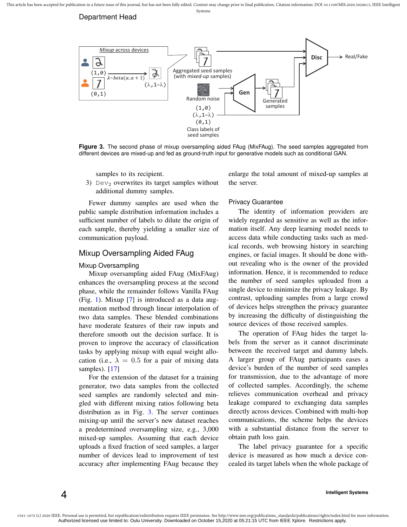



**Figure 3.** The second phase of mixup oversampling aided FAug (MixFAug). The seed samples aggregated from different devices are mixed-up and fed as ground-truth input for generative models such as conditional GAN.

samples to its recipient.

3) Dev<sub>2</sub> overwrites its target samples without additional dummy samples.

enlarge the total amount of mixed-up samples at the server.

Fewer dummy samples are used when the public sample distribution information includes a sufficient number of labels to dilute the origin of each sample, thereby yielding a smaller size of communication payload.

## Mixup Oversampling Aided FAug

### Mixup Oversampling

4

Mixup oversampling aided FAug (MixFAug) enhances the oversampling process at the second phase, while the remainder follows Vanilla FAug (Fig. 1). Mixup [7] is introduced as a data augmentation method through linear interpolation of two data samples. These blended combinations have moderate features of their raw inputs and therefore smooth out the decision surface. It is proven to improve the accuracy of classification tasks by applying mixup with equal weight allocation (i.e.,  $\lambda = 0.5$  for a pair of mixing data samples). [17]

For the extension of the dataset for a training generator, two data samples from the collected seed samples are randomly selected and mingled with different mixing ratios following beta distribution as in Fig. 3. The server continues mixing-up until the server's new dataset reaches a predetermined oversampling size, e.g., 3,000 mixed-up samples. Assuming that each device uploads a fixed fraction of seed samples, a larger number of devices lead to improvement of test accuracy after implementing FAug because they

## Privacy Guarantee

The identity of information providers are widely regarded as sensitive as well as the information itself. Any deep learning model needs to access data while conducting tasks such as medical records, web browsing history in searching engines, or facial images. It should be done without revealing who is the owner of the provided information. Hence, it is recommended to reduce the number of seed samples uploaded from a single device to minimize the privacy leakage. By contrast, uploading samples from a large crowd of devices helps strengthen the privacy guarantee by increasing the difficulty of distinguishing the source devices of those received samples.

The operation of FAug hides the target labels from the server as it cannot discriminate between the received target and dummy labels. A larger group of FAug participants eases a device's burden of the number of seed samples for transmission, due to the advantage of more of collected samples. Accordingly, the scheme relieves communication overhead and privacy leakage compared to exchanging data samples directly across devices. Combined with multi-hop communications, the scheme helps the devices with a substantial distance from the server to obtain path loss gain.

The label privacy guarantee for a specific device is measured as how much a device concealed its target labels when the whole package of

#### **Intelligent Systems**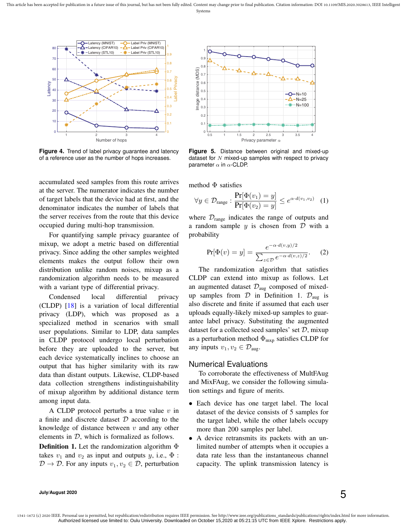

**Figure 4.** Trend of label privacy guarantee and latency of a reference user as the number of hops increases.

accumulated seed samples from this route arrives at the server. The numerator indicates the number of target labels that the device had at first, and the denominator indicates the number of labels that the server receives from the route that this device occupied during multi-hop transmission.

For quantifying sample privacy guarantee of mixup, we adopt a metric based on differential privacy. Since adding the other samples weighted elements makes the output follow their own distribution unlike random noises, mixup as a randomization algorithm needs to be measured with a variant type of differential privacy.

Condensed local differential privacy (CLDP) [18] is a variation of local differential privacy (LDP), which was proposed as a specialized method in scenarios with small user populations. Similar to LDP, data samples in CLDP protocol undergo local perturbation before they are uploaded to the server, but each device systematically inclines to choose an output that has higher similarity with its raw data than distant outputs. Likewise, CLDP-based data collection strengthens indistinguishability of mixup algorithm by additional distance term among input data.

A CLDP protocol perturbs a true value  $v$  in a finite and discrete dataset  $D$  according to the knowledge of distance between  $v$  and any other elements in  $D$ , which is formalized as follows.

**Definition 1.** Let the randomization algorithm  $\Phi$ takes  $v_1$  and  $v_2$  as input and outputs y, i.e.,  $\Phi$ :  $\mathcal{D} \to \mathcal{D}$ . For any inputs  $v_1, v_2 \in \mathcal{D}$ , perturbation



**Figure 5.** Distance between original and mixed-up dataset for  $N$  mixed-up samples with respect to privacy parameter  $\alpha$  in  $\alpha$ -CLDP.

method  $\Phi$  satisfies

$$
\forall y \in \mathcal{D}_{\text{range}} : \frac{\Pr[\Phi(v_1) = y]}{\Pr[\Phi(v_2) = y]} \le e^{\alpha \cdot d(v_1, v_2)} \quad (1)
$$

where  $\mathcal{D}_{\text{range}}$  indicates the range of outputs and a random sample  $y$  is chosen from  $D$  with a probability

$$
Pr[\Phi(v) = y] = \frac{e^{-\alpha \cdot d(v, y)/2}}{\sum_{z \in \mathcal{D}} e^{-\alpha \cdot d(v, z)/2}}.
$$
 (2)

The randomization algorithm that satisfies CLDP can extend into mixup as follows. Let an augmented dataset  $\mathcal{D}_{\text{aug}}$  composed of mixedup samples from  $D$  in Definition 1.  $D_{aug}$  is also discrete and finite if assumed that each user uploads equally-likely mixed-up samples to guarantee label privacy. Substituting the augmented dataset for a collected seed samples' set  $D$ , mixup as a perturbation method  $\Phi_{\text{mxp}}$  satisfies CLDP for any inputs  $v_1, v_2 \in \mathcal{D}_{\text{aug}}$ .

## Numerical Evaluations

To corroborate the effectiveness of MultFAug and MixFAug, we consider the following simulation settings and figure of merits.

- Each device has one target label. The local dataset of the device consists of 5 samples for the target label, while the other labels occupy more than 200 samples per label.
- A device retransmits its packets with an unlimited number of attempts when it occupies a data rate less than the instantaneous channel capacity. The uplink transmission latency is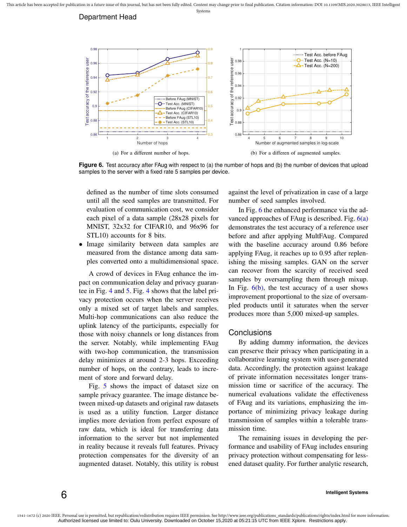## Department Head



**Figure 6.** Test accuracy after FAug with respect to (a) the number of hops and (b) the number of devices that upload samples to the server with a fixed rate 5 samples per device.

defined as the number of time slots consumed until all the seed samples are transmitted. For evaluation of communication cost, we consider each pixel of a data sample (28x28 pixels for MNIST, 32x32 for CIFAR10, and 96x96 for STL10) accounts for 8 bits.

• Image similarity between data samples are measured from the distance among data samples converted onto a multidimensional space.

A crowd of devices in FAug enhance the impact on communication delay and privacy guarantee in Fig. 4 and 5. Fig. 4 shows that the label privacy protection occurs when the server receives only a mixed set of target labels and samples. Multi-hop communications can also reduce the uplink latency of the participants, especially for those with noisy channels or long distances from the server. Notably, while implementing FAug with two-hop communication, the transmission delay minimizes at around 2-3 hops. Exceeding number of hops, on the contrary, leads to increment of store and forward delay.

Fig. 5 shows the impact of dataset size on sample privacy guarantee. The image distance between mixed-up datasets and original raw datasets is used as a utility function. Larger distance implies more deviation from perfect exposure of raw data, which is ideal for transferring data information to the server but not implemented in reality because it reveals full features. Privacy protection compensates for the diversity of an augmented dataset. Notably, this utility is robust against the level of privatization in case of a large number of seed samples involved.

In Fig. 6 the enhanced performance via the advanced approaches of FAug is described. Fig.  $6(a)$ demonstrates the test accuracy of a reference user before and after applying MultFAug. Compared with the baseline accuracy around 0.86 before applying FAug, it reaches up to 0.95 after replenishing the missing samples. GAN on the server can recover from the scarcity of received seed samples by oversampling them through mixup. In Fig.  $6(b)$ , the test accuracy of a user shows improvement proportional to the size of oversampled products until it saturates when the server produces more than 5,000 mixed-up samples.

## **Conclusions**

By adding dummy information, the devices can preserve their privacy when participating in a collaborative learning system with user-generated data. Accordingly, the protection against leakage of private information necessitates longer transmission time or sacrifice of the accuracy. The numerical evaluations validate the effectiveness of FAug and its variations, emphasizing the importance of minimizing privacy leakage during transmission of samples within a tolerable transmission time.

The remaining issues in developing the performance and usability of FAug includes ensuring privacy protection without compensating for lessened dataset quality. For further analytic research,

1541-1672 (c) 2020 IEEE. Personal use is permitted, but republication/redistribution requires IEEE permission. See http://www.ieee.org/publications\_standards/publications/rights/index.html for more information. Authorized licensed use limited to: Oulu University. Downloaded on October 15,2020 at 05:21:15 UTC from IEEE Xplore. Restrictions apply.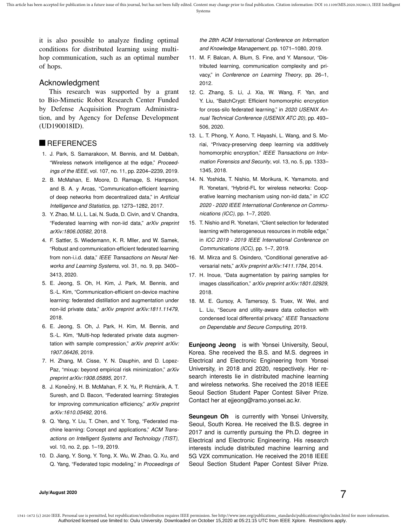it is also possible to analyze finding optimal conditions for distributed learning using multihop communication, such as an optimal number of hops.

# Acknowledgment

This research was supported by a grant to Bio-Mimetic Robot Research Center Funded by Defense Acquisition Program Administration, and by Agency for Defense Development (UD190018ID).

## **REFERENCES**

- 1. J. Park, S. Samarakoon, M. Bennis, and M. Debbah, "Wireless network intelligence at the edge," *Proceedings of the IEEE*, vol. 107, no. 11, pp. 2204–2239, 2019.
- 2. B. McMahan, E. Moore, D. Ramage, S. Hampson, and B. A. y Arcas, "Communication-efficient learning of deep networks from decentralized data," in *Artificial Intelligence and Statistics*, pp. 1273–1282, 2017.
- 3. Y. Zhao, M. Li, L. Lai, N. Suda, D. Civin, and V. Chandra, "Federated learning with non-iid data," *arXiv preprint arXiv:1806.00582*, 2018.
- 4. F. Sattler, S. Wiedemann, K. R. Mller, and W. Samek, "Robust and communication-efficient federated learning from non-i.i.d. data," *IEEE Transactions on Neural Networks and Learning Systems*, vol. 31, no. 9, pp. 3400– 3413, 2020.
- 5. E. Jeong, S. Oh, H. Kim, J. Park, M. Bennis, and S.-L. Kim, "Communication-efficient on-device machine learning: federated distillation and augmentation under non-iid private data," *arXiv preprint arXiv:1811.11479*, 2018.
- 6. E. Jeong, S. Oh, J. Park, H. Kim, M. Bennis, and S.-L. Kim, "Multi-hop federated private data augmentation with sample compression," *arXiv preprint arXiv: 1907.06426*, 2019.
- 7. H. Zhang, M. Cisse, Y. N. Dauphin, and D. Lopez-Paz, "mixup: beyond empirical risk minimization," *arXiv preprint arXiv:1908.05895*, 2017.
- 8. J. Konečný, H. B. McMahan, F. X. Yu, P. Richtárik, A. T. Suresh, and D. Bacon, "Federated learning: Strategies for improving communication efficiency," *arXiv preprint arXiv:1610.05492*, 2016.
- 9. Q. Yang, Y. Liu, T. Chen, and Y. Tong, "Federated machine learning: Concept and applications," *ACM Transactions on Intelligent Systems and Technology (TIST)*, vol. 10, no. 2, pp. 1–19, 2019.
- 10. D. Jiang, Y. Song, Y. Tong, X. Wu, W. Zhao, Q. Xu, and Q. Yang, "Federated topic modeling," in *Proceedings of*

*the 28th ACM International Conference on Information and Knowledge Management*, pp. 1071–1080, 2019.

- 11. M. F. Balcan, A. Blum, S. Fine, and Y. Mansour, "Distributed learning, communication complexity and privacy," in *Conference on Learning Theory*, pp. 26–1, 2012.
- 12. C. Zhang, S. Li, J. Xia, W. Wang, F. Yan, and Y. Liu, "BatchCrypt: Efficient homomorphic encryption for cross-silo federated learning," in *2020 USENIX Annual Technical Conference (USENIX ATC 20)*, pp. 493– 506, 2020.
- 13. L. T. Phong, Y. Aono, T. Hayashi, L. Wang, and S. Moriai, "Privacy-preserving deep learning via additively homomorphic encryption," *IEEE Transactions on Information Forensics and Security*, vol. 13, no. 5, pp. 1333– 1345, 2018.
- 14. N. Yoshida, T. Nishio, M. Morikura, K. Yamamoto, and R. Yonetani, "Hybrid-FL for wireless networks: Cooperative learning mechanism using non-iid data," in *ICC 2020 - 2020 IEEE International Conference on Communications (ICC)*, pp. 1–7, 2020.
- 15. T. Nishio and R. Yonetani, "Client selection for federated learning with heterogeneous resources in mobile edge," in *ICC 2019 - 2019 IEEE International Conference on Communications (ICC)*, pp. 1–7, 2019.
- 16. M. Mirza and S. Osindero, "Conditional generative adversarial nets," *arXiv preprint arXiv:1411.1784*, 2014.
- 17. H. Inoue, "Data augmentation by pairing samples for images classification," *arXiv preprint arXiv:1801.02929*, 2018.
- 18. M. E. Gursoy, A. Tamersoy, S. Truex, W. Wei, and L. Liu, "Secure and utility-aware data collection with condensed local differential privacy," *IEEE Transactions on Dependable and Secure Computing*, 2019.

**Eunjeong Jeong** is with Yonsei University, Seoul, Korea. She received the B.S. and M.S. degrees in Electrical and Electronic Engineering from Yonsei University, in 2018 and 2020, respectively. Her research interests lie in distributed machine learning and wireless networks. She received the 2018 IEEE Seoul Section Student Paper Contest Silver Prize. Contact her at ejjeong@ramo.yonsei.ac.kr.

**Seungeun Oh** is currently with Yonsei University, Seoul, South Korea. He received the B.S. degree in 2017 and is currently pursuing the Ph.D. degree in Electrical and Electronic Engineering. His research interests include distributed machine learning and 5G V2X communication. He received the 2018 IEEE Seoul Section Student Paper Contest Silver Prize.

**July/August 2020** 7

1541-1672 (c) 2020 IEEE. Personal use is permitted, but republication/redistribution requires IEEE permission. See http://www.ieee.org/publications\_standards/publications/rights/index.html for more information. Authorized licensed use limited to: Oulu University. Downloaded on October 15,2020 at 05:21:15 UTC from IEEE Xplore. Restrictions apply.